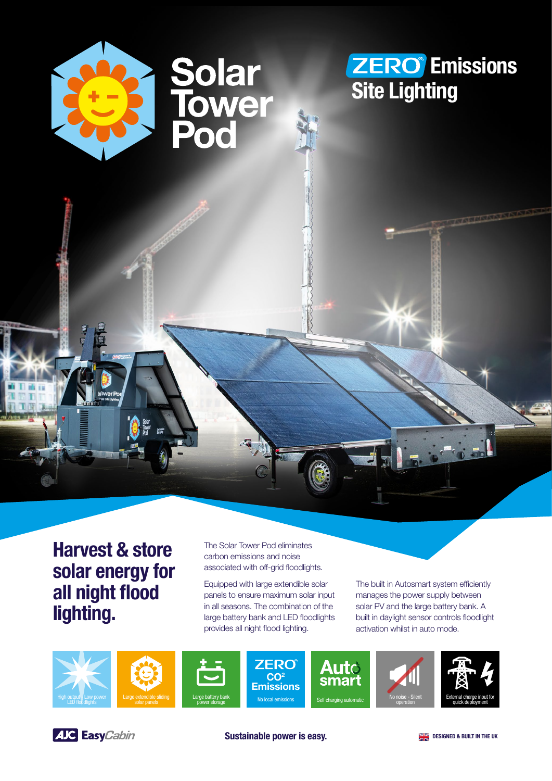

Harvest & store solar energy for all night flood lighting.

The Solar Tower Pod eliminates carbon emissions and noise associated with off-grid floodlights.

Equipped with large extendible solar panels to ensure maximum solar input in all seasons. The combination of the large battery bank and LED floodlights provides all night flood lighting.

The built in Autosmart system efficiently manages the power supply between solar PV and the large battery bank. A built in daylight sensor controls floodlight activation whilst in auto mode.









**ZERO**  $CO<sup>2</sup>$ Emissions output, Low power Large extendible sliding Large battery bank<br>LED floodlights Self charging automatic solar panels power storage No local emissions Self charging automatic









Sustainable power is easy. DESIGNED & BUILT IN THE UK